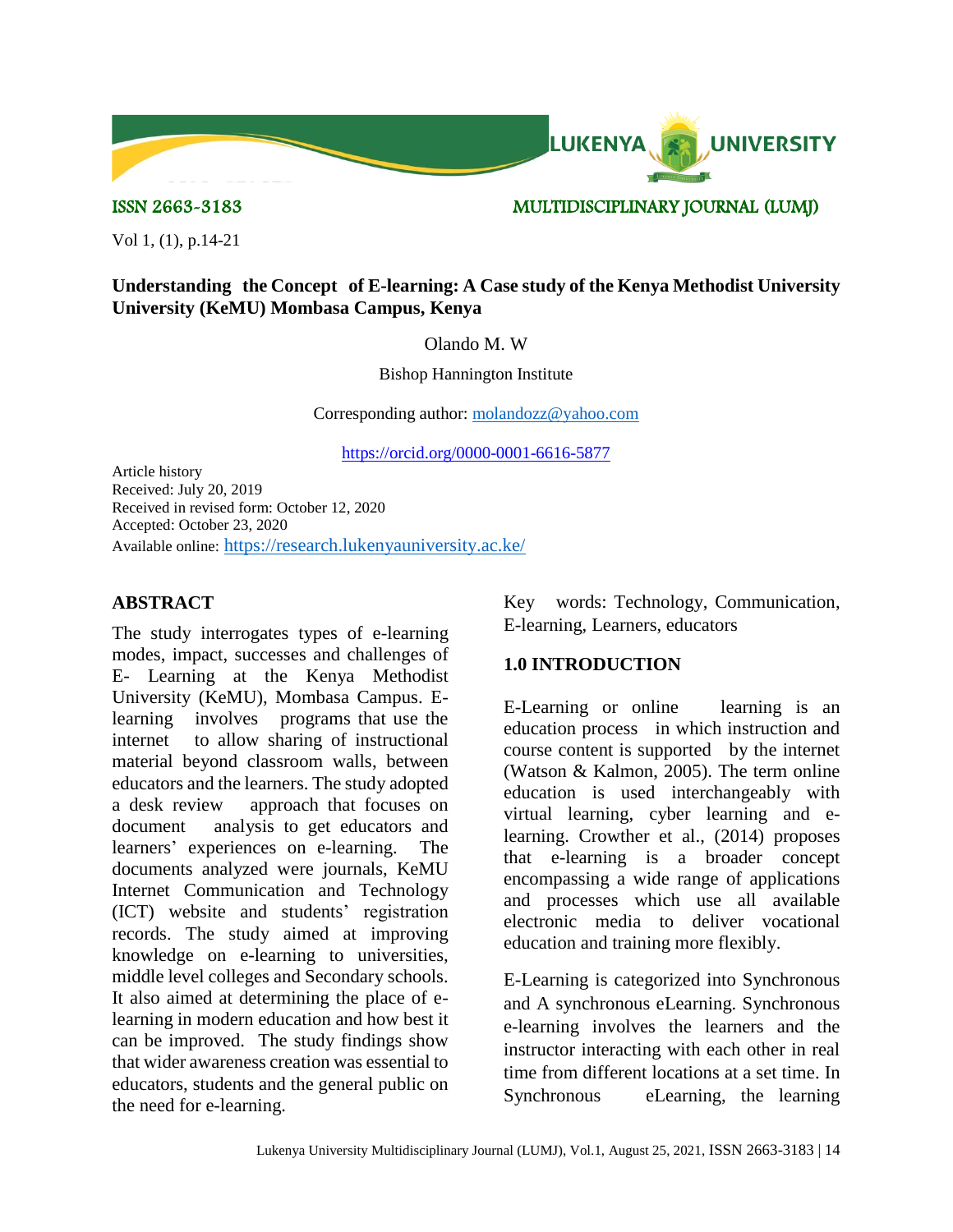

#### ISSN 2663-3183 MULTIDISCIPLINARY JOURNAL (LUMJ)

Vol 1, (1), p.14-21

#### **Understanding the Concept of E-learning: A Case study of the Kenya Methodist University University (KeMU) Mombasa Campus, Kenya**

Olando M. W

Bishop Hannington Institute

Corresponding author: [molandozz@yahoo.com](mailto:molandozz@yahoo.com)

<https://orcid.org/0000-0001-6616-5877>

Article history Received: July 20, 2019 Received in revised form: October 12, 2020 Accepted: October 23, 2020 Available online: <https://research.lukenyauniversity.ac.ke/>

# **ABSTRACT**

The study interrogates types of e-learning modes, impact, successes and challenges of E- Learning at the Kenya Methodist University (KeMU), Mombasa Campus. Elearning involves programs that use the internet to allow sharing of instructional material beyond classroom walls, between educators and the learners. The study adopted a desk review approach that focuses on document analysis to get educators and learners' experiences on e-learning. The documents analyzed were journals, KeMU Internet Communication and Technology (ICT) website and students' registration records. The study aimed at improving knowledge on e-learning to universities, middle level colleges and Secondary schools. It also aimed at determining the place of elearning in modern education and how best it can be improved. The study findings show that wider awareness creation was essential to educators, students and the general public on the need for e-learning.

Key words: Technology, Communication, E-learning, Learners, educators

# **1.0 INTRODUCTION**

E-Learning or online learning is an education process in which instruction and course content is supported by the internet (Watson & Kalmon, 2005). The term online education is used interchangeably with virtual learning, cyber learning and elearning. Crowther et al., (2014) proposes that e-learning is a broader concept encompassing a wide range of applications and processes which use all available electronic media to deliver vocational education and training more flexibly.

E-Learning is categorized into Synchronous and A synchronous eLearning. Synchronous e-learning involves the learners and the instructor interacting with each other in real time from different locations at a set time. In Synchronous eLearning, the learning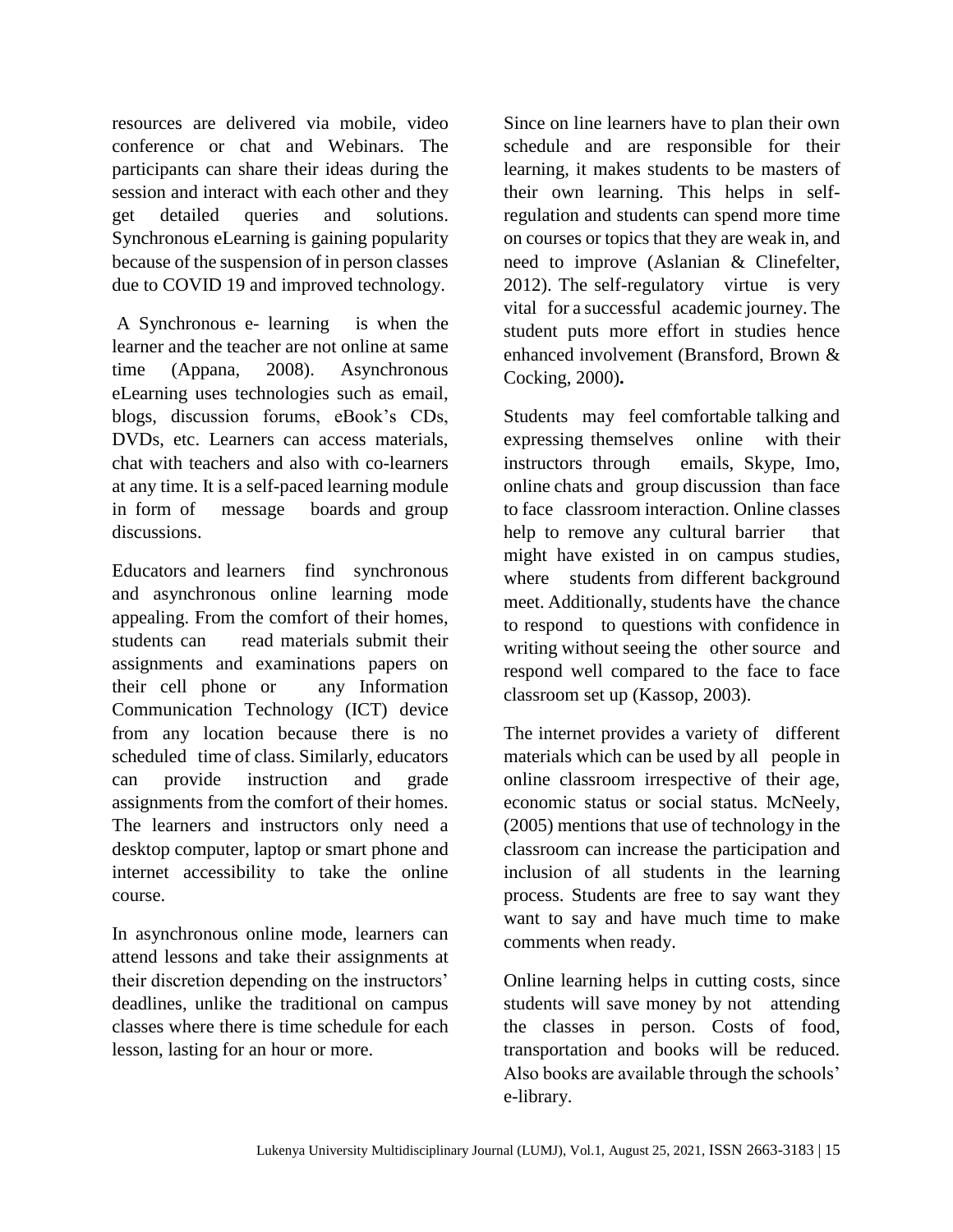resources are delivered via mobile, video conference or chat and Webinars. The participants can share their ideas during the session and interact with each other and they get detailed queries and solutions. Synchronous eLearning is gaining popularity because of the suspension of in person classes due to COVID 19 and improved technology.

A Synchronous e- learning is when the learner and the teacher are not online at same time (Appana, 2008). Asynchronous eLearning uses technologies such as email, blogs, discussion forums, eBook's CDs, DVDs, etc. Learners can access materials, chat with teachers and also with co-learners at any time. It is a self-paced learning module in form of message boards and group discussions.

Educators and learners find synchronous and asynchronous online learning mode appealing. From the comfort of their homes, students can read materials submit their assignments and examinations papers on their cell phone or any Information Communication Technology (ICT) device from any location because there is no scheduled time of class. Similarly, educators can provide instruction and grade assignments from the comfort of their homes. The learners and instructors only need a desktop computer, laptop or smart phone and internet accessibility to take the online course.

In asynchronous online mode, learners can attend lessons and take their assignments at their discretion depending on the instructors' deadlines, unlike the traditional on campus classes where there is time schedule for each lesson, lasting for an hour or more.

Since on line learners have to plan their own schedule and are responsible for their learning, it makes students to be masters of their own learning. This helps in selfregulation and students can spend more time on courses or topics that they are weak in, and need to improve (Aslanian & Clinefelter, 2012). The self-regulatory virtue is very vital for a successful academic journey. The student puts more effort in studies hence enhanced involvement (Bransford, Brown & Cocking, 2000)**.** 

Students may feel comfortable talking and expressing themselves online with their instructors through emails, Skype, Imo, online chats and group discussion than face to face classroom interaction. Online classes help to remove any cultural barrier that might have existed in on campus studies, where students from different background meet. Additionally, students have the chance to respond to questions with confidence in writing without seeing the other source and respond well compared to the face to face classroom set up (Kassop, 2003).

The internet provides a variety of different materials which can be used by all people in online classroom irrespective of their age, economic status or social status. McNeely, (2005) mentions that use of technology in the classroom can increase the participation and inclusion of all students in the learning process. Students are free to say want they want to say and have much time to make comments when ready.

Online learning helps in cutting costs, since students will save money by not attending the classes in person. Costs of food, transportation and books will be reduced. Also books are available through the schools' e-library.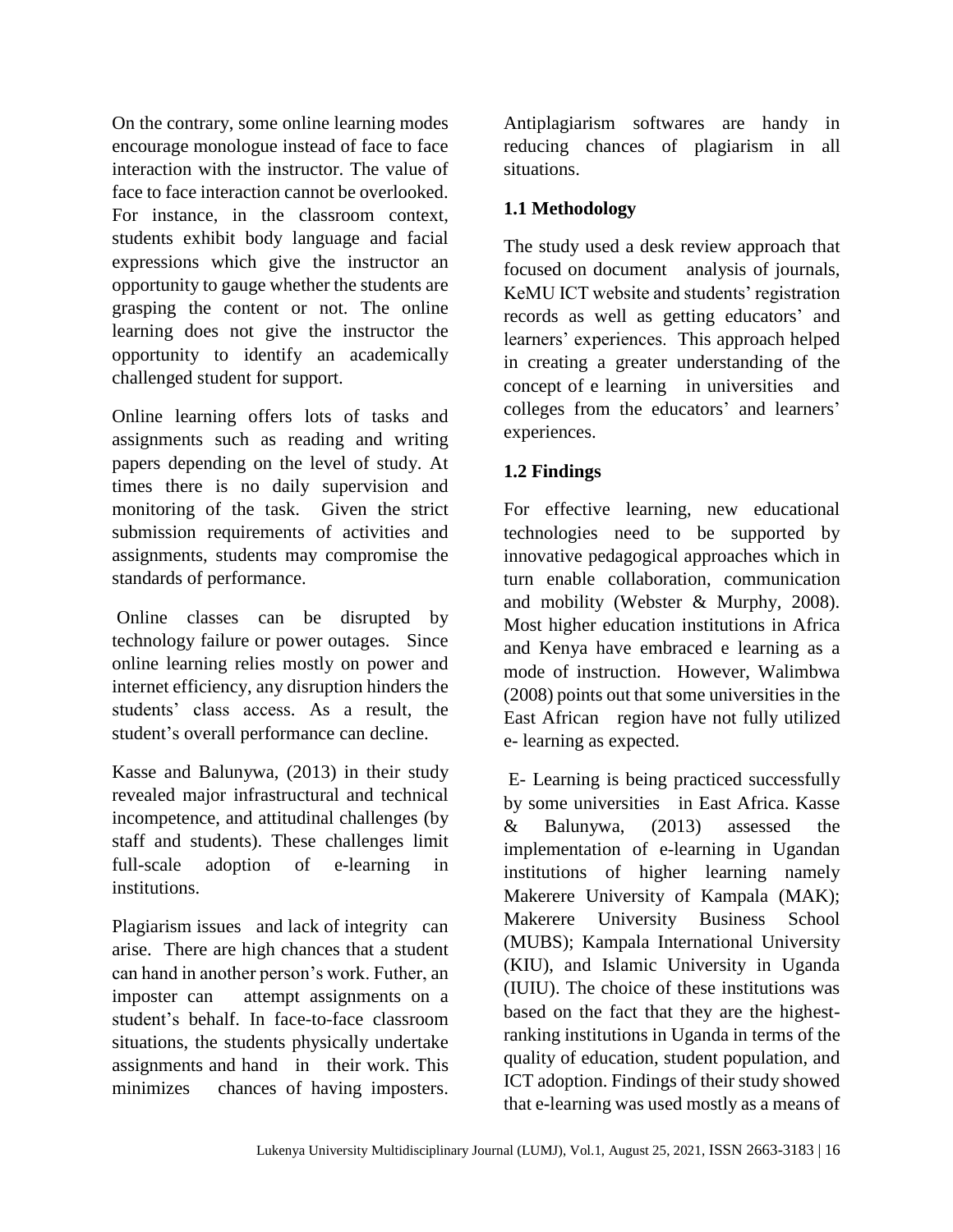On the contrary, some online learning modes encourage monologue instead of face to face interaction with the instructor. The value of face to face interaction cannot be overlooked. For instance, in the classroom context, students exhibit body language and facial expressions which give the instructor an opportunity to gauge whether the students are grasping the content or not. The online learning does not give the instructor the opportunity to identify an academically challenged student for support.

Online learning offers lots of tasks and assignments such as reading and writing papers depending on the level of study. At times there is no daily supervision and monitoring of the task. Given the strict submission requirements of activities and assignments, students may compromise the standards of performance.

Online classes can be disrupted by technology failure or power outages. Since online learning relies mostly on power and internet efficiency, any disruption hinders the students' class access. As a result, the student's overall performance can decline.

Kasse and Balunywa, (2013) in their study revealed major infrastructural and technical incompetence, and attitudinal challenges (by staff and students). These challenges limit full-scale adoption of e-learning in institutions.

Plagiarism issues and lack of integrity can arise. There are high chances that a student can hand in another person's work. Futher, an imposter can attempt assignments on a student's behalf. In face-to-face classroom situations, the students physically undertake assignments and hand in their work. This minimizes chances of having imposters.

Antiplagiarism softwares are handy in reducing chances of plagiarism in all situations.

# **1.1 Methodology**

The study used a desk review approach that focused on document analysis of journals, KeMU ICT website and students' registration records as well as getting educators' and learners' experiences. This approach helped in creating a greater understanding of the concept of e learning in universities and colleges from the educators' and learners' experiences.

# **1.2 Findings**

For effective learning, new educational technologies need to be supported by innovative pedagogical approaches which in turn enable collaboration, communication and mobility (Webster & Murphy, 2008). Most higher education institutions in Africa and Kenya have embraced e learning as a mode of instruction. However, Walimbwa (2008) points out that some universities in the East African region have not fully utilized e- learning as expected.

E- Learning is being practiced successfully by some universities in East Africa. Kasse & Balunywa, (2013) assessed the implementation of e-learning in Ugandan institutions of higher learning namely Makerere University of Kampala (MAK); Makerere University Business School (MUBS); Kampala International University (KIU), and Islamic University in Uganda (IUIU). The choice of these institutions was based on the fact that they are the highestranking institutions in Uganda in terms of the quality of education, student population, and ICT adoption. Findings of their study showed that e-learning was used mostly as a means of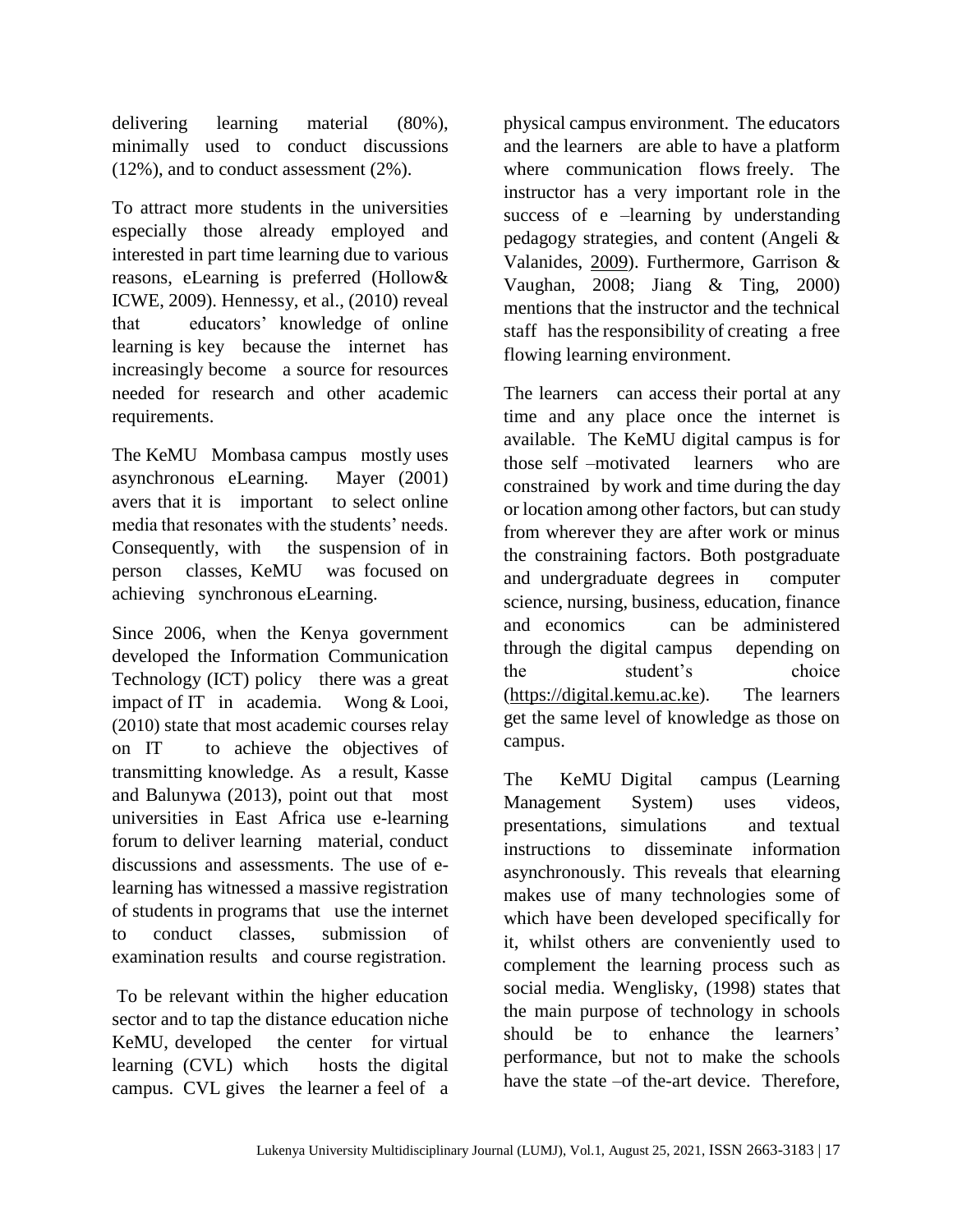delivering learning material (80%), minimally used to conduct discussions (12%), and to conduct assessment (2%).

To attract more students in the universities especially those already employed and interested in part time learning due to various reasons, eLearning is preferred (Hollow& ICWE, 2009). Hennessy, et al., (2010) reveal that educators' knowledge of online learning is key because the internet has increasingly become a source for resources needed for research and other academic requirements.

The KeMU Mombasa campus mostly uses asynchronous eLearning. Mayer (2001) avers that it is important to select online media that resonates with the students' needs. Consequently, with the suspension of in person classes, KeMU was focused on achieving synchronous eLearning.

Since 2006, when the Kenya government developed the Information Communication Technology (ICT) policy there was a great impact of IT in academia. Wong & Looi, (2010) state that most academic courses relay on IT to achieve the objectives of transmitting knowledge*.* As a result, Kasse and Balunywa (2013), point out that most universities in East Africa use e-learning forum to deliver learning material, conduct discussions and assessments. The use of elearning has witnessed a massive registration of students in programs that use the internet to conduct classes, submission of examination results and course registration.

To be relevant within the higher education sector and to tap the distance education niche KeMU, developed the center for virtual learning (CVL) which hosts the digital campus. CVL gives the learner a feel of a

physical campus environment. The educators and the learners are able to have a platform where communication flows freely. The instructor has a very important role in the success of e –learning by understanding pedagogy strategies, and content (Angeli & Valanides, [2009\)](file:///C:/Users/DRMART~1/AppData/Local/Temp/Revised%20word%20document.docx%23CR2). Furthermore, Garrison & Vaughan, 2008; Jiang & Ting, 2000) mentions that the instructor and the technical staff has the responsibility of creating a free flowing learning environment.

The learners can access their portal at any time and any place once the internet is available. The KeMU digital campus is for those self –motivated learners who are constrained by work and time during the day or location among other factors, but can study from wherever they are after work or minus the constraining factors. Both postgraduate and undergraduate degrees in computer science, nursing, business, education, finance and economics can be administered through the digital campus depending on the student's choice [\(https://digital.kemu.ac.ke\)](https://digital.kemu.ac.ke/). The learners get the same level of knowledge as those on campus.

The KeMU Digital campus (Learning Management System) uses videos, presentations, simulations and textual instructions to disseminate information asynchronously. This reveals that elearning makes use of many technologies some of which have been developed specifically for it, whilst others are conveniently used to complement the learning process such as social media. Wenglisky, (1998) states that the main purpose of technology in schools should be to enhance the learners' performance, but not to make the schools have the state –of the-art device. Therefore,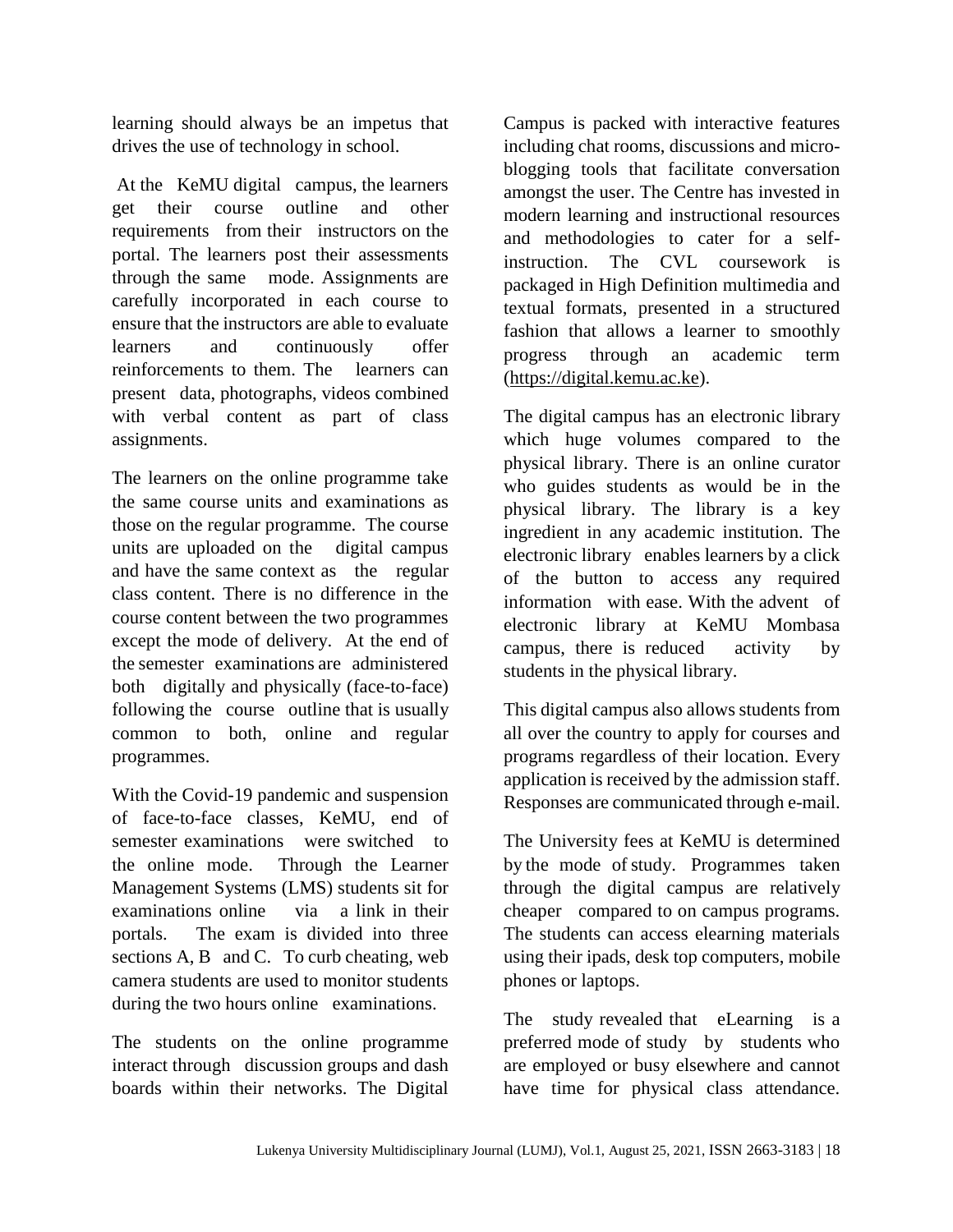learning should always be an impetus that drives the use of technology in school.

At the KeMU digital campus, the learners get their course outline and other requirements from their instructors on the portal. The learners post their assessments through the same mode. Assignments are carefully incorporated in each course to ensure that the instructors are able to evaluate learners and continuously offer reinforcements to them. The learners can present data, photographs, videos combined with verbal content as part of class assignments.

The learners on the online programme take the same course units and examinations as those on the regular programme. The course units are uploaded on the digital campus and have the same context as the regular class content. There is no difference in the course content between the two programmes except the mode of delivery. At the end of the semester examinations are administered both digitally and physically (face-to-face) following the course outline that is usually common to both, online and regular programmes.

With the Covid-19 pandemic and suspension of face-to-face classes, KeMU, end of semester examinations were switched to the online mode. Through the Learner Management Systems (LMS) students sit for examinations online via a link in their portals. The exam is divided into three sections A, B and C. To curb cheating, web camera students are used to monitor students during the two hours online examinations.

The students on the online programme interact through discussion groups and dash boards within their networks. The Digital

Campus is packed with interactive features including chat rooms, discussions and microblogging tools that facilitate conversation amongst the user. The Centre has invested in modern learning and instructional resources and methodologies to cater for a selfinstruction. The CVL coursework is packaged in High Definition multimedia and textual formats, presented in a structured fashion that allows a learner to smoothly progress through an academic term [\(https://digital.kemu.ac.ke\)](https://digital.kemu.ac.ke/).

The digital campus has an electronic library which huge volumes compared to the physical library. There is an online curator who guides students as would be in the physical library. The library is a key ingredient in any academic institution. The electronic library enables learners by a click of the button to access any required information with ease. With the advent of electronic library at KeMU Mombasa campus, there is reduced activity by students in the physical library.

This digital campus also allows students from all over the country to apply for courses and programs regardless of their location. Every application is received by the admission staff. Responses are communicated through e-mail.

The University fees at KeMU is determined by the mode of study. Programmes taken through the digital campus are relatively cheaper compared to on campus programs. The students can access elearning materials using their ipads, desk top computers, mobile phones or laptops.

The study revealed that eLearning is a preferred mode of study by students who are employed or busy elsewhere and cannot have time for physical class attendance.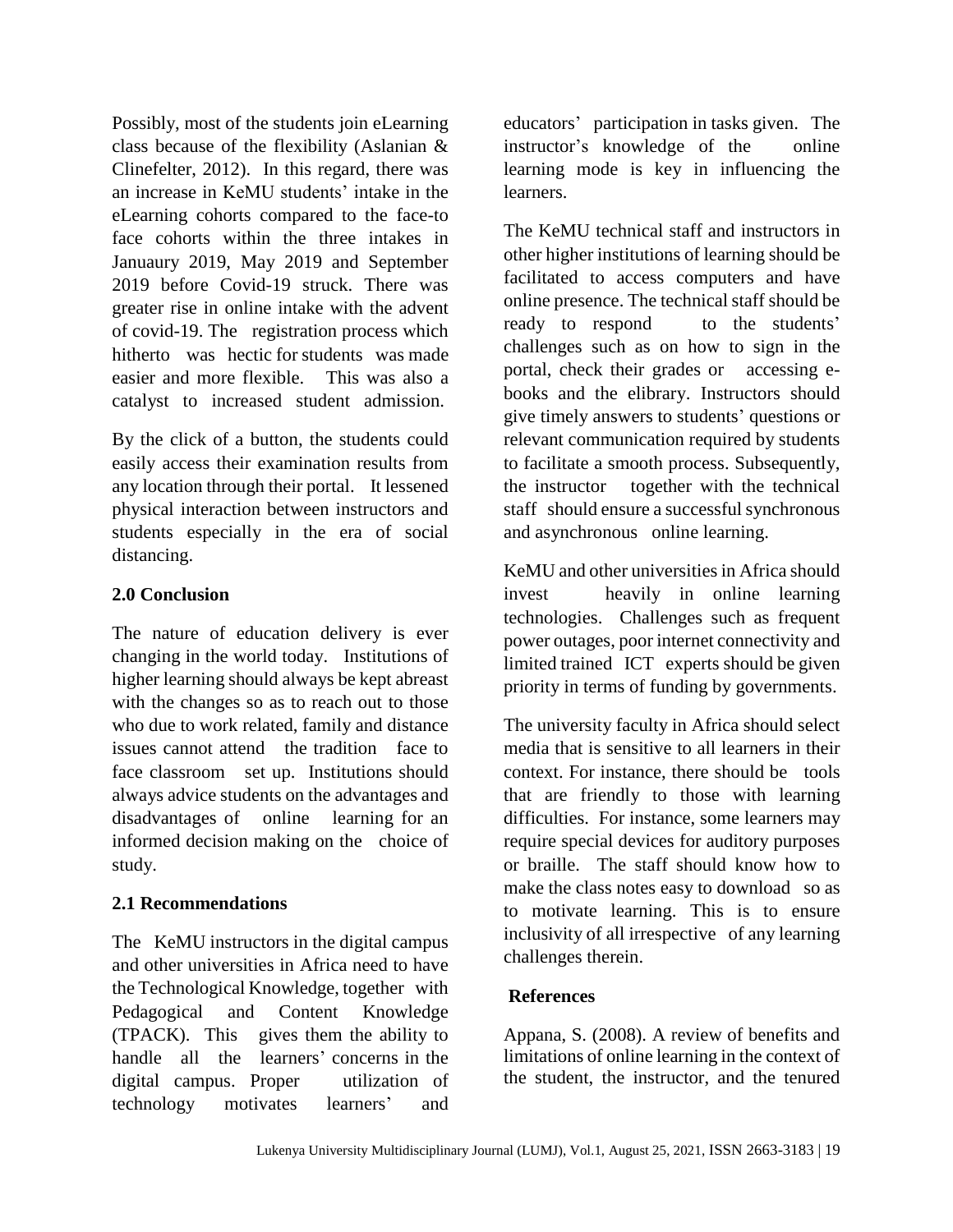Possibly, most of the students join eLearning class because of the flexibility (Aslanian & Clinefelter, 2012). In this regard, there was an increase in KeMU students' intake in the eLearning cohorts compared to the face-to face cohorts within the three intakes in Januaury 2019, May 2019 and September 2019 before Covid-19 struck. There was greater rise in online intake with the advent of covid-19. The registration process which hitherto was hectic for students was made easier and more flexible. This was also a catalyst to increased student admission.

By the click of a button, the students could easily access their examination results from any location through their portal. It lessened physical interaction between instructors and students especially in the era of social distancing.

# **2.0 Conclusion**

The nature of education delivery is ever changing in the world today. Institutions of higher learning should always be kept abreast with the changes so as to reach out to those who due to work related, family and distance issues cannot attend the tradition face to face classroom set up. Institutions should always advice students on the advantages and disadvantages of online learning for an informed decision making on the choice of study.

# **2.1 Recommendations**

The KeMU instructors in the digital campus and other universities in Africa need to have the Technological Knowledge, together with Pedagogical and Content Knowledge (TPACK). This gives them the ability to handle all the learners' concerns in the digital campus. Proper utilization of technology motivates learners' and

educators' participation in tasks given. The instructor's knowledge of the online learning mode is key in influencing the learners.

The KeMU technical staff and instructors in other higher institutions of learning should be facilitated to access computers and have online presence. The technical staff should be ready to respond to the students' challenges such as on how to sign in the portal, check their grades or accessing ebooks and the elibrary. Instructors should give timely answers to students' questions or relevant communication required by students to facilitate a smooth process. Subsequently, the instructor together with the technical staff should ensure a successful synchronous and asynchronous online learning.

KeMU and other universities in Africa should invest heavily in online learning technologies. Challenges such as frequent power outages, poor internet connectivity and limited trained ICT experts should be given priority in terms of funding by governments.

The university faculty in Africa should select media that is sensitive to all learners in their context. For instance, there should be tools that are friendly to those with learning difficulties. For instance, some learners may require special devices for auditory purposes or braille. The staff should know how to make the class notes easy to download so as to motivate learning. This is to ensure inclusivity of all irrespective of any learning challenges therein.

# **References**

Appana, S. (2008). A review of benefits and limitations of online learning in the context of the student, the instructor, and the tenured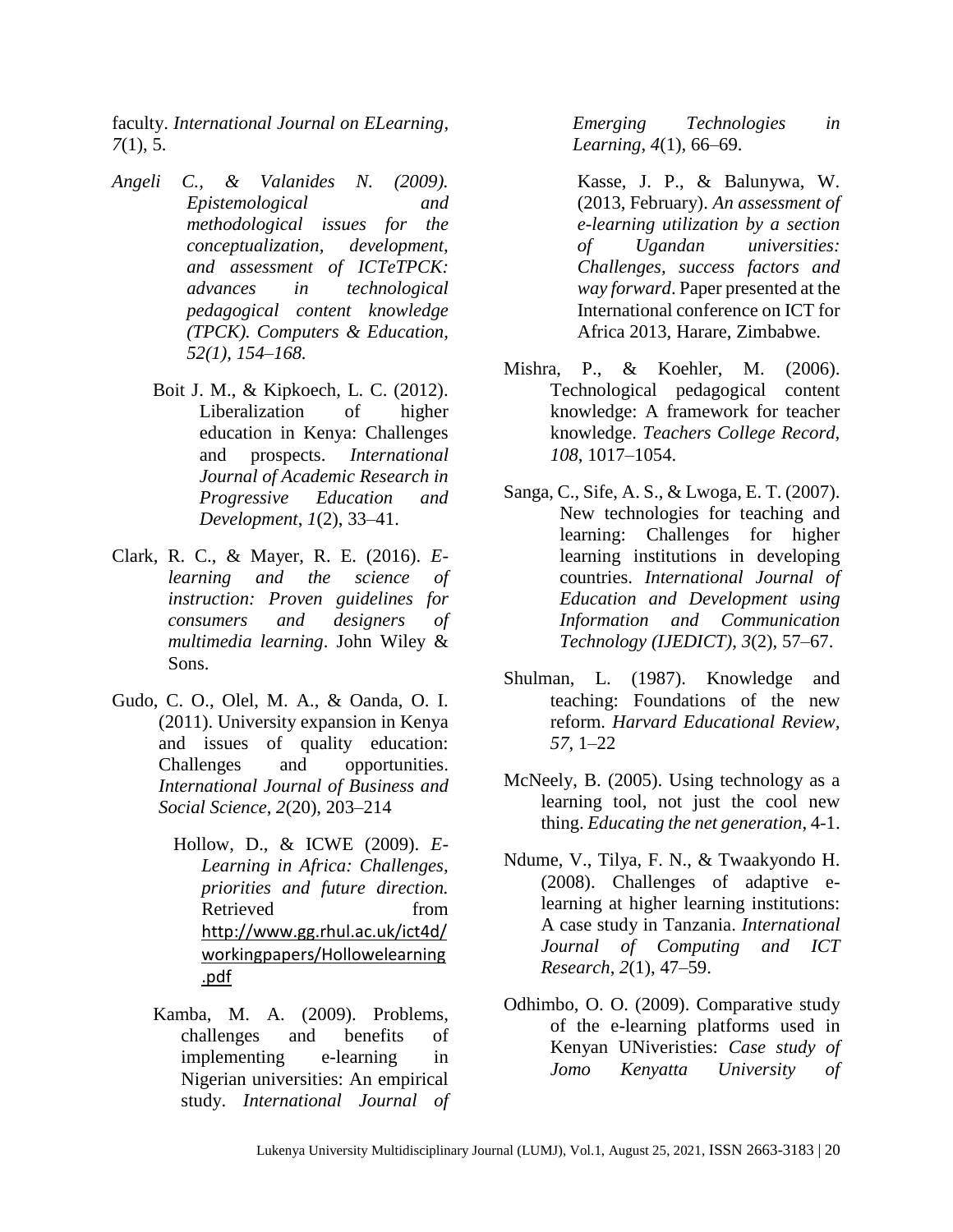faculty. *International Journal on ELearning*, *7*(1), 5.

- *Angeli C., & Valanides N. (2009). Epistemological and methodological issues for the conceptualization, development, and assessment of ICTeTPCK: advances in technological pedagogical content knowledge (TPCK). Computers & Education, 52(1), 154–168.*
	- Boit J. M., & Kipkoech, L. C. (2012). Liberalization of higher education in Kenya: Challenges and prospects. *International Journal of Academic Research in Progressive Education and Development*, *1*(2), 33–41.
- Clark, R. C., & Mayer, R. E. (2016). *Elearning and the science of instruction: Proven guidelines for consumers and designers of multimedia learning*. John Wiley & Sons.
- Gudo, C. O., Olel, M. A., & Oanda, O. I. (2011). University expansion in Kenya and issues of quality education: Challenges and opportunities. *International Journal of Business and Social Science*, *2*(20), 203–214
	- Hollow, D., & ICWE (2009). *E-Learning in Africa: Challenges, priorities and future direction.* Retrieved from [http://www.gg.rhul.ac.uk/ict4d/](http://www.gg.rhul.ac.uk/ict4d/workingpapers/Hollowelearning.pdf) [workingpapers/Hollowelearning](http://www.gg.rhul.ac.uk/ict4d/workingpapers/Hollowelearning.pdf) [.pdf](http://www.gg.rhul.ac.uk/ict4d/workingpapers/Hollowelearning.pdf)
	- Kamba, M. A. (2009). Problems, challenges and benefits of implementing e-learning in Nigerian universities: An empirical study. *International Journal of*

*Emerging Technologies in Learning*, *4*(1), 66–69.

Kasse, J. P., & Balunywa, W. (2013, February). *An assessment of e-learning utilization by a section of Ugandan universities: Challenges, success factors and way forward*. Paper presented at the International conference on ICT for Africa 2013, Harare, Zimbabwe.

- Mishra, P., & Koehler, M. (2006). Technological pedagogical content knowledge: A framework for teacher knowledge. *Teachers College Record, 108*, 1017–1054.
- Sanga, C., Sife, A. S., & Lwoga, E. T. (2007). New technologies for teaching and learning: Challenges for higher learning institutions in developing countries. *International Journal of Education and Development using Information and Communication Technology (IJEDICT)*, *3*(2), 57–67.
- Shulman, L. (1987). Knowledge and teaching: Foundations of the new reform. *Harvard Educational Review, 57*, 1–22
- McNeely, B. (2005). Using technology as a learning tool, not just the cool new thing. *Educating the net generation*, 4-1.
- Ndume, V., Tilya, F. N., & Twaakyondo H. (2008). Challenges of adaptive elearning at higher learning institutions: A case study in Tanzania. *International Journal of Computing and ICT Research*, *2*(1), 47–59.
- Odhimbo, O. O. (2009). Comparative study of the e-learning platforms used in Kenyan UNiveristies: *Case study of Jomo Kenyatta University of*